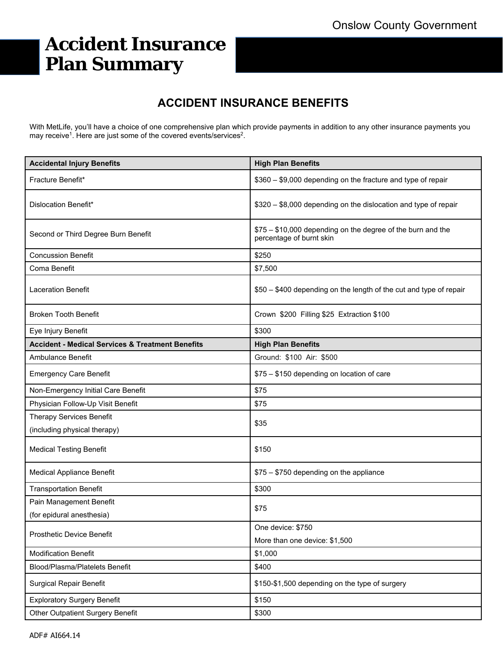# **Accident Insurance Plan Summary**

### **ACCIDENT INSURANCE BENEFITS**

With MetLife, you'll have a choice of one comprehensive plan which provide payments in addition to any other insurance payments you may receive<sup>1</sup>. Here are just some of the covered events/services<sup>2</sup>.

| <b>Accidental Injury Benefits</b>                           | <b>High Plan Benefits</b>                                                               |  |
|-------------------------------------------------------------|-----------------------------------------------------------------------------------------|--|
| Fracture Benefit*                                           | \$360 - \$9,000 depending on the fracture and type of repair                            |  |
| Dislocation Benefit*                                        | \$320 - \$8,000 depending on the dislocation and type of repair                         |  |
| Second or Third Degree Burn Benefit                         | \$75 - \$10,000 depending on the degree of the burn and the<br>percentage of burnt skin |  |
| <b>Concussion Benefit</b>                                   | \$250                                                                                   |  |
| Coma Benefit                                                | \$7,500                                                                                 |  |
| <b>Laceration Benefit</b>                                   | \$50 - \$400 depending on the length of the cut and type of repair                      |  |
| <b>Broken Tooth Benefit</b>                                 | Crown \$200 Filling \$25 Extraction \$100                                               |  |
| Eye Injury Benefit                                          | \$300                                                                                   |  |
| <b>Accident - Medical Services &amp; Treatment Benefits</b> | <b>High Plan Benefits</b>                                                               |  |
| <b>Ambulance Benefit</b>                                    | Ground: \$100 Air: \$500                                                                |  |
| <b>Emergency Care Benefit</b>                               | \$75 - \$150 depending on location of care                                              |  |
| Non-Emergency Initial Care Benefit                          | \$75                                                                                    |  |
| Physician Follow-Up Visit Benefit                           | \$75                                                                                    |  |
| <b>Therapy Services Benefit</b>                             | \$35                                                                                    |  |
| (including physical therapy)                                |                                                                                         |  |
| <b>Medical Testing Benefit</b>                              | \$150                                                                                   |  |
| <b>Medical Appliance Benefit</b>                            | \$75 - \$750 depending on the appliance                                                 |  |
| <b>Transportation Benefit</b>                               | \$300                                                                                   |  |
| Pain Management Benefit                                     | \$75                                                                                    |  |
| (for epidural anesthesia)                                   |                                                                                         |  |
| Prosthetic Device Benefit                                   | One device: \$750                                                                       |  |
|                                                             | More than one device: \$1,500                                                           |  |
| <b>Modification Benefit</b>                                 | \$1,000                                                                                 |  |
| <b>Blood/Plasma/Platelets Benefit</b>                       | \$400                                                                                   |  |
| <b>Surgical Repair Benefit</b>                              | \$150-\$1,500 depending on the type of surgery                                          |  |
| <b>Exploratory Surgery Benefit</b>                          | \$150                                                                                   |  |
| <b>Other Outpatient Surgery Benefit</b>                     | \$300                                                                                   |  |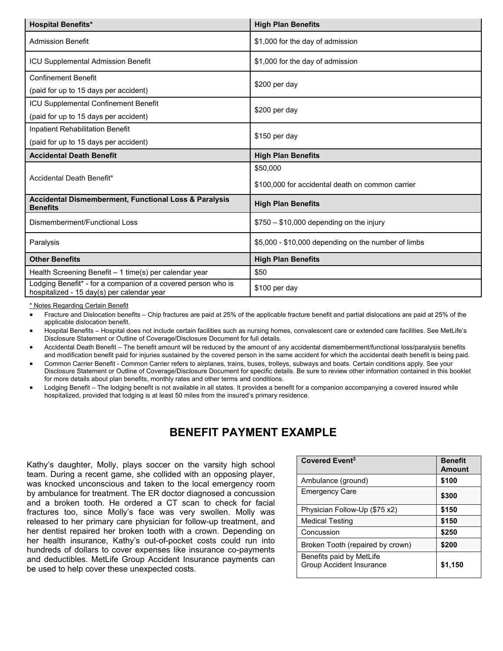| <b>Hospital Benefits*</b>                                                                                   | <b>High Plan Benefits</b>                           |  |
|-------------------------------------------------------------------------------------------------------------|-----------------------------------------------------|--|
| <b>Admission Benefit</b>                                                                                    | \$1,000 for the day of admission                    |  |
| <b>ICU Supplemental Admission Benefit</b>                                                                   | \$1,000 for the day of admission                    |  |
| <b>Confinement Benefit</b>                                                                                  | $$200$ per day                                      |  |
| (paid for up to 15 days per accident)                                                                       |                                                     |  |
| ICU Supplemental Confinement Benefit                                                                        | \$200 per day                                       |  |
| (paid for up to 15 days per accident)                                                                       |                                                     |  |
| Inpatient Rehabilitation Benefit                                                                            | \$150 per day                                       |  |
| (paid for up to 15 days per accident)                                                                       |                                                     |  |
| <b>Accidental Death Benefit</b>                                                                             | <b>High Plan Benefits</b>                           |  |
| Accidental Death Benefit*                                                                                   | \$50,000                                            |  |
|                                                                                                             | \$100,000 for accidental death on common carrier    |  |
| Accidental Dismemberment, Functional Loss & Paralysis<br><b>Benefits</b>                                    | <b>High Plan Benefits</b>                           |  |
| Dismemberment/Functional Loss                                                                               | $$750 - $10,000$ depending on the injury            |  |
| Paralysis                                                                                                   | \$5,000 - \$10,000 depending on the number of limbs |  |
| <b>Other Benefits</b>                                                                                       | <b>High Plan Benefits</b>                           |  |
| Health Screening Benefit - 1 time(s) per calendar year                                                      | \$50                                                |  |
| Lodging Benefit* - for a companion of a covered person who is<br>hospitalized - 15 day(s) per calendar year | \$100 per day                                       |  |

\* Notes Regarding Certain Benefit

- Fracture and Dislocation benefits Chip fractures are paid at 25% of the applicable fracture benefit and partial dislocations are paid at 25% of the applicable dislocation benefit.
- Hospital Benefits Hospital does not include certain facilities such as nursing homes, convalescent care or extended care facilities. See MetLife's Disclosure Statement or Outline of Coverage/Disclosure Document for full details.
- Accidental Death Benefit The benefit amount will be reduced by the amount of any accidental dismemberment/functional loss/paralysis benefits and modification benefit paid for injuries sustained by the covered person in the same accident for which the accidental death benefit is being paid.
- Common Carrier Benefit Common Carrier refers to airplanes, trains, buses, trolleys, subways and boats. Certain conditions apply. See your Disclosure Statement or Outline of Coverage/Disclosure Document for specific details. Be sure to review other information contained in this booklet for more details about plan benefits, monthly rates and other terms and conditions.
- Lodging Benefit The lodging benefit is not available in all states. It provides a benefit for a companion accompanying a covered insured while hospitalized, provided that lodging is at least 50 miles from the insured's primary residence.

### **BENEFIT PAYMENT EXAMPLE**

Kathy's daughter, Molly, plays soccer on the varsity high school team. During a recent game, she collided with an opposing player, was knocked unconscious and taken to the local emergency room by ambulance for treatment. The ER doctor diagnosed a concussion and a broken tooth. He ordered a CT scan to check for facial fractures too, since Molly's face was very swollen. Molly was released to her primary care physician for follow-up treatment, and her dentist repaired her broken tooth with a crown. Depending on her health insurance, Kathy's out-of-pocket costs could run into hundreds of dollars to cover expenses like insurance co-payments and deductibles. MetLife Group Accident Insurance payments can be used to help cover these unexpected costs.

| Covered Event <sup>3</sup>                                  | <b>Benefit</b><br><b>Amount</b> |
|-------------------------------------------------------------|---------------------------------|
| Ambulance (ground)                                          | \$100                           |
| <b>Emergency Care</b>                                       | \$300                           |
| Physician Follow-Up (\$75 x2)                               | \$150                           |
| <b>Medical Testing</b>                                      | \$150                           |
| Concussion                                                  | \$250                           |
| Broken Tooth (repaired by crown)                            | \$200                           |
| Benefits paid by MetLife<br><b>Group Accident Insurance</b> | \$1,150                         |